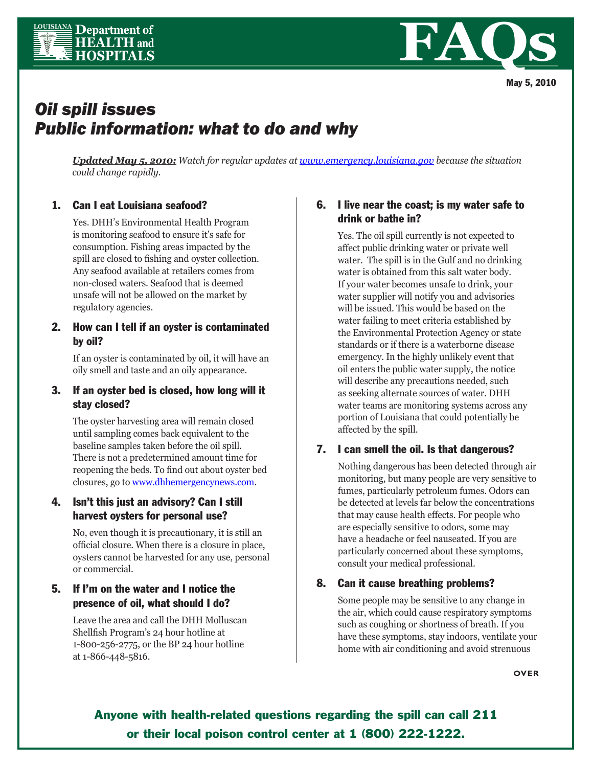



# *Oil spill issues Public information: what to do and why*

*Updated May 5, 2010: Watch for regular updates at www.emergency.louisiana.gov because the situation could change rapidly.*

# 1. Can I eat Louisiana seafood?

Yes. DHH's Environmental Health Program is monitoring seafood to ensure it's safe for consumption. Fishing areas impacted by the spill are closed to fishing and oyster collection. Any seafood available at retailers comes from non-closed waters. Seafood that is deemed unsafe will not be allowed on the market by regulatory agencies.

#### 2. How can I tell if an oyster is contaminated by oil?

If an oyster is contaminated by oil, it will have an oily smell and taste and an oily appearance.

## 3. If an oyster bed is closed, how long will it stay closed?

The oyster harvesting area will remain closed until sampling comes back equivalent to the baseline samples taken before the oil spill. There is not a predetermined amount time for reopening the beds. To find out about oyster bed closures, go to www.dhhemergencynews.com.

# 4. Isn't this just an advisory? Can I still harvest oysters for personal use?

No, even though it is precautionary, it is still an official closure. When there is a closure in place, oysters cannot be harvested for any use, personal or commercial.

# 5. If I'm on the water and I notice the presence of oil, what should I do?

Leave the area and call the DHH Molluscan Shellfish Program's 24 hour hotline at 1-800-256-2775, or the BP 24 hour hotline at 1-866-448-5816.

## 6. I live near the coast; is my water safe to drink or bathe in?

Yes. The oil spill currently is not expected to affect public drinking water or private well water. The spill is in the Gulf and no drinking water is obtained from this salt water body. If your water becomes unsafe to drink, your water supplier will notify you and advisories will be issued. This would be based on the water failing to meet criteria established by the Environmental Protection Agency or state standards or if there is a waterborne disease emergency. In the highly unlikely event that oil enters the public water supply, the notice will describe any precautions needed, such as seeking alternate sources of water. DHH water teams are monitoring systems across any portion of Louisiana that could potentially be affected by the spill.

#### 7. I can smell the oil. Is that dangerous?

Nothing dangerous has been detected through air monitoring, but many people are very sensitive to fumes, particularly petroleum fumes. Odors can be detected at levels far below the concentrations that may cause health effects. For people who are especially sensitive to odors, some may have a headache or feel nauseated. If you are particularly concerned about these symptoms, consult your medical professional.

#### 8. Can it cause breathing problems?

Some people may be sensitive to any change in the air, which could cause respiratory symptoms such as coughing or shortness of breath. If you have these symptoms, stay indoors, ventilate your home with air conditioning and avoid strenuous

**OVER**

Anyone with health-related questions regarding the spill can call 211 or their local poison control center at 1 (800) 222-1222.